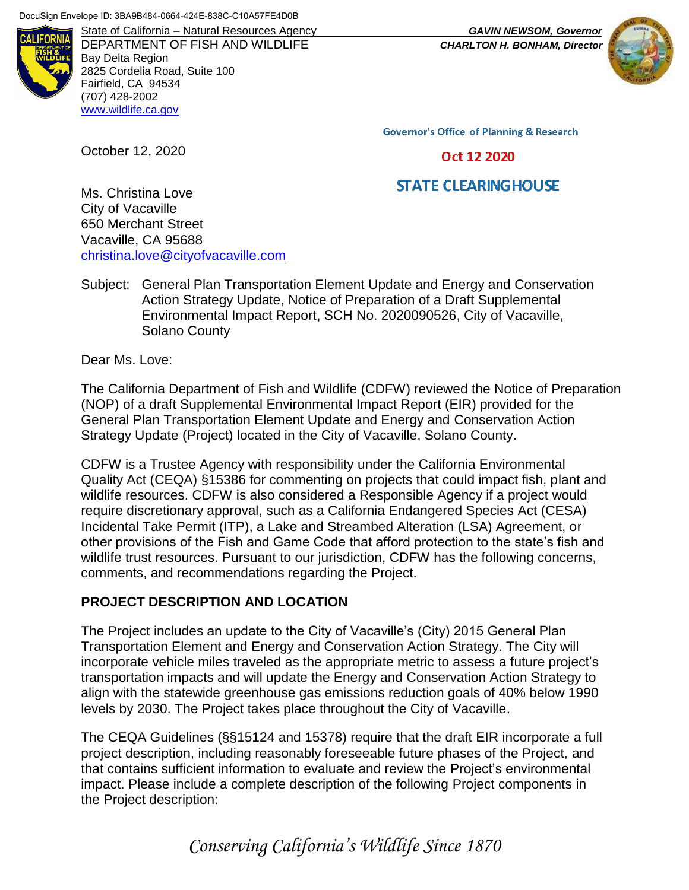

DEPARTMENT OF FISH AND WILDLIFE *CHARLTON H. BONHAM, Director* Bay Delta Region 2825 Cordelia Road, Suite 100 Fairfield, CA 94534 (707) 428-2002 [www.wildlife.ca.gov](https://wildlife.ca.gov/)

State of California – Natural Resources Agency *GAVIN NEWSOM, Governor*



**Governor's Office of Planning & Research** 

#### Oct 12 2020

# **STATE CLEARING HOUSE**

Ms. Christina Love City of Vacaville 650 Merchant Street Vacaville, CA 95688 [christina.love@cityofvacaville.com](mailto:christina.love@cityofvacaville.com)

Subject: General Plan Transportation Element Update and Energy and Conservation Action Strategy Update, Notice of Preparation of a Draft Supplemental Environmental Impact Report, SCH No. 2020090526, City of Vacaville, Solano County

Dear Ms. Love:

October 12, 2020

The California Department of Fish and Wildlife (CDFW) reviewed the Notice of Preparation (NOP) of a draft Supplemental Environmental Impact Report (EIR) provided for the General Plan Transportation Element Update and Energy and Conservation Action Strategy Update (Project) located in the City of Vacaville, Solano County.

CDFW is a Trustee Agency with responsibility under the California Environmental Quality Act (CEQA) §15386 for commenting on projects that could impact fish, plant and wildlife resources. CDFW is also considered a Responsible Agency if a project would require discretionary approval, such as a California Endangered Species Act (CESA) Incidental Take Permit (ITP), a Lake and Streambed Alteration (LSA) Agreement, or other provisions of the Fish and Game Code that afford protection to the state's fish and wildlife trust resources. Pursuant to our jurisdiction, CDFW has the following concerns, comments, and recommendations regarding the Project.

### **PROJECT DESCRIPTION AND LOCATION**

The Project includes an update to the City of Vacaville's (City) 2015 General Plan Transportation Element and Energy and Conservation Action Strategy. The City will incorporate vehicle miles traveled as the appropriate metric to assess a future project's transportation impacts and will update the Energy and Conservation Action Strategy to align with the statewide greenhouse gas emissions reduction goals of 40% below 1990 levels by 2030. The Project takes place throughout the City of Vacaville.

The CEQA Guidelines (§§15124 and 15378) require that the draft EIR incorporate a full project description, including reasonably foreseeable future phases of the Project, and that contains sufficient information to evaluate and review the Project's environmental impact. Please include a complete description of the following Project components in the Project description:

*Conserving California's Wildlife Since 1870*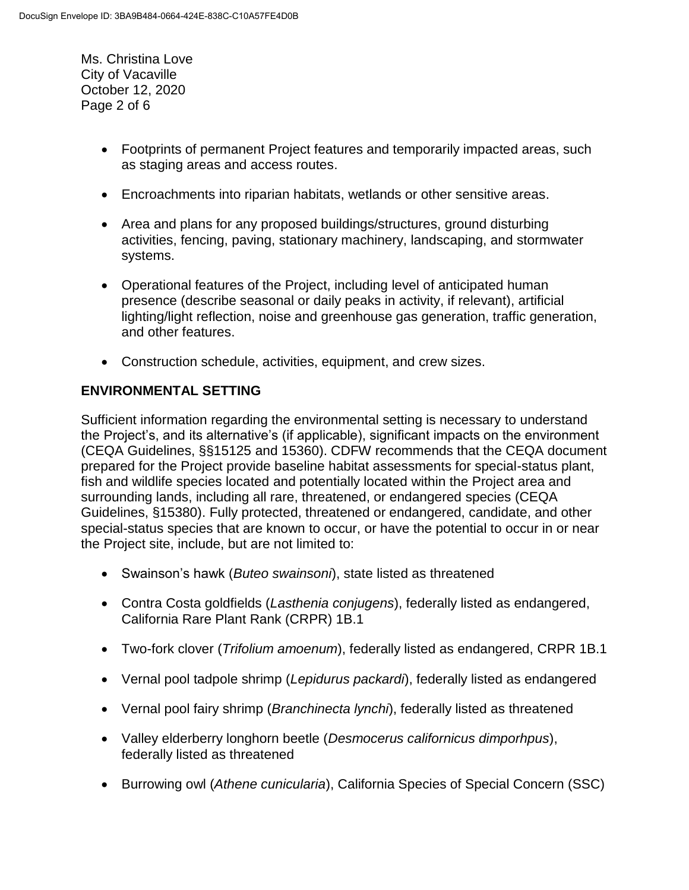Ms. Christina Love City of Vacaville October 12, 2020 Page 2 of 6

- Footprints of permanent Project features and temporarily impacted areas, such as staging areas and access routes.
- Encroachments into riparian habitats, wetlands or other sensitive areas.
- Area and plans for any proposed buildings/structures, ground disturbing activities, fencing, paving, stationary machinery, landscaping, and stormwater systems.
- Operational features of the Project, including level of anticipated human presence (describe seasonal or daily peaks in activity, if relevant), artificial lighting/light reflection, noise and greenhouse gas generation, traffic generation, and other features.
- Construction schedule, activities, equipment, and crew sizes.

## **ENVIRONMENTAL SETTING**

Sufficient information regarding the environmental setting is necessary to understand the Project's, and its alternative's (if applicable), significant impacts on the environment (CEQA Guidelines, §§15125 and 15360). CDFW recommends that the CEQA document prepared for the Project provide baseline habitat assessments for special-status plant, fish and wildlife species located and potentially located within the Project area and surrounding lands, including all rare, threatened, or endangered species (CEQA Guidelines, §15380). Fully protected, threatened or endangered, candidate, and other special-status species that are known to occur, or have the potential to occur in or near the Project site, include, but are not limited to:

- Swainson's hawk (*Buteo swainsoni*), state listed as threatened
- Contra Costa goldfields (*Lasthenia conjugens*), federally listed as endangered, California Rare Plant Rank (CRPR) 1B.1
- Two-fork clover (*Trifolium amoenum*), federally listed as endangered, CRPR 1B.1
- Vernal pool tadpole shrimp (*Lepidurus packardi*), federally listed as endangered
- Vernal pool fairy shrimp (*Branchinecta lynchi*), federally listed as threatened
- Valley elderberry longhorn beetle (*Desmocerus californicus dimporhpus*), federally listed as threatened
- Burrowing owl (*Athene cunicularia*), California Species of Special Concern (SSC)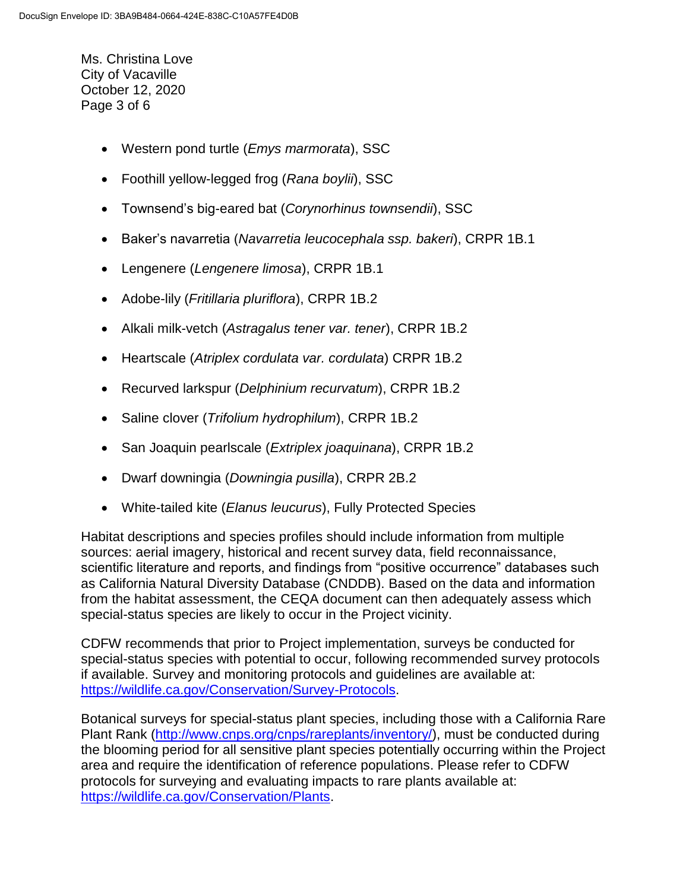Ms. Christina Love City of Vacaville October 12, 2020 Page 3 of 6

- Western pond turtle (*Emys marmorata*), SSC
- Foothill yellow-legged frog (*Rana boylii*), SSC
- Townsend's big-eared bat (*Corynorhinus townsendii*), SSC
- Baker's navarretia (*Navarretia leucocephala ssp. bakeri*), CRPR 1B.1
- Lengenere (*Lengenere limosa*), CRPR 1B.1
- Adobe-lily (*Fritillaria pluriflora*), CRPR 1B.2
- Alkali milk-vetch (*Astragalus tener var. tener*), CRPR 1B.2
- Heartscale (*Atriplex cordulata var. cordulata*) CRPR 1B.2
- Recurved larkspur (*Delphinium recurvatum*), CRPR 1B.2
- Saline clover (*Trifolium hydrophilum*), CRPR 1B.2
- San Joaquin pearlscale (*Extriplex joaquinana*), CRPR 1B.2
- Dwarf downingia (*Downingia pusilla*), CRPR 2B.2
- White-tailed kite (*Elanus leucurus*), Fully Protected Species

Habitat descriptions and species profiles should include information from multiple sources: aerial imagery, historical and recent survey data, field reconnaissance, scientific literature and reports, and findings from "positive occurrence" databases such as California Natural Diversity Database (CNDDB). Based on the data and information from the habitat assessment, the CEQA document can then adequately assess which special-status species are likely to occur in the Project vicinity.

CDFW recommends that prior to Project implementation, surveys be conducted for special-status species with potential to occur, following recommended survey protocols if available. Survey and monitoring protocols and guidelines are available at: [https://wildlife.ca.gov/Conservation/Survey-Protocols.](https://wildlife.ca.gov/Conservation/Survey-Protocols)

Botanical surveys for special-status plant species, including those with a California Rare Plant Rank [\(http://www.cnps.org/cnps/rareplants/inventory/\)](http://www.cnps.org/cnps/rareplants/inventory/), must be conducted during the blooming period for all sensitive plant species potentially occurring within the Project area and require the identification of reference populations. Please refer to CDFW protocols for surveying and evaluating impacts to rare plants available at: [https://wildlife.ca.gov/Conservation/Plants.](https://wildlife.ca.gov/Conservation/Plants)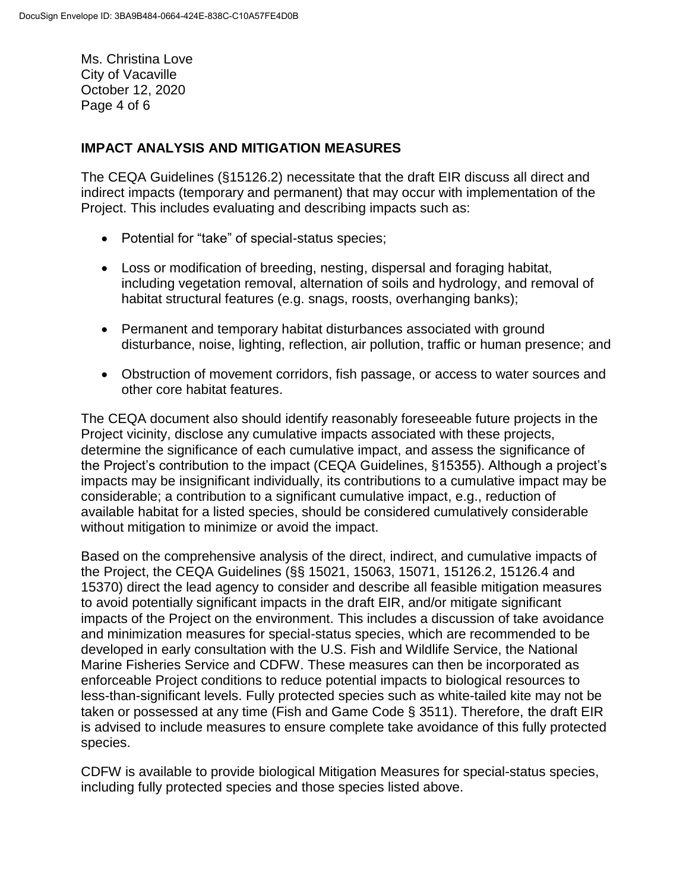Ms. Christina Love City of Vacaville October 12, 2020 Page 4 of 6

### **IMPACT ANALYSIS AND MITIGATION MEASURES**

The CEQA Guidelines (§15126.2) necessitate that the draft EIR discuss all direct and indirect impacts (temporary and permanent) that may occur with implementation of the Project. This includes evaluating and describing impacts such as:

- Potential for "take" of special-status species;
- Loss or modification of breeding, nesting, dispersal and foraging habitat, including vegetation removal, alternation of soils and hydrology, and removal of habitat structural features (e.g. snags, roosts, overhanging banks);
- Permanent and temporary habitat disturbances associated with ground disturbance, noise, lighting, reflection, air pollution, traffic or human presence; and
- Obstruction of movement corridors, fish passage, or access to water sources and other core habitat features.

The CEQA document also should identify reasonably foreseeable future projects in the Project vicinity, disclose any cumulative impacts associated with these projects, determine the significance of each cumulative impact, and assess the significance of the Project's contribution to the impact (CEQA Guidelines, §15355). Although a project's impacts may be insignificant individually, its contributions to a cumulative impact may be considerable; a contribution to a significant cumulative impact, e.g., reduction of available habitat for a listed species, should be considered cumulatively considerable without mitigation to minimize or avoid the impact.

Based on the comprehensive analysis of the direct, indirect, and cumulative impacts of the Project, the CEQA Guidelines (§§ 15021, 15063, 15071, 15126.2, 15126.4 and 15370) direct the lead agency to consider and describe all feasible mitigation measures to avoid potentially significant impacts in the draft EIR, and/or mitigate significant impacts of the Project on the environment. This includes a discussion of take avoidance and minimization measures for special-status species, which are recommended to be developed in early consultation with the U.S. Fish and Wildlife Service, the National Marine Fisheries Service and CDFW. These measures can then be incorporated as enforceable Project conditions to reduce potential impacts to biological resources to less-than-significant levels. Fully protected species such as white-tailed kite may not be taken or possessed at any time (Fish and Game Code § 3511). Therefore, the draft EIR is advised to include measures to ensure complete take avoidance of this fully protected species.

CDFW is available to provide biological Mitigation Measures for special-status species, including fully protected species and those species listed above.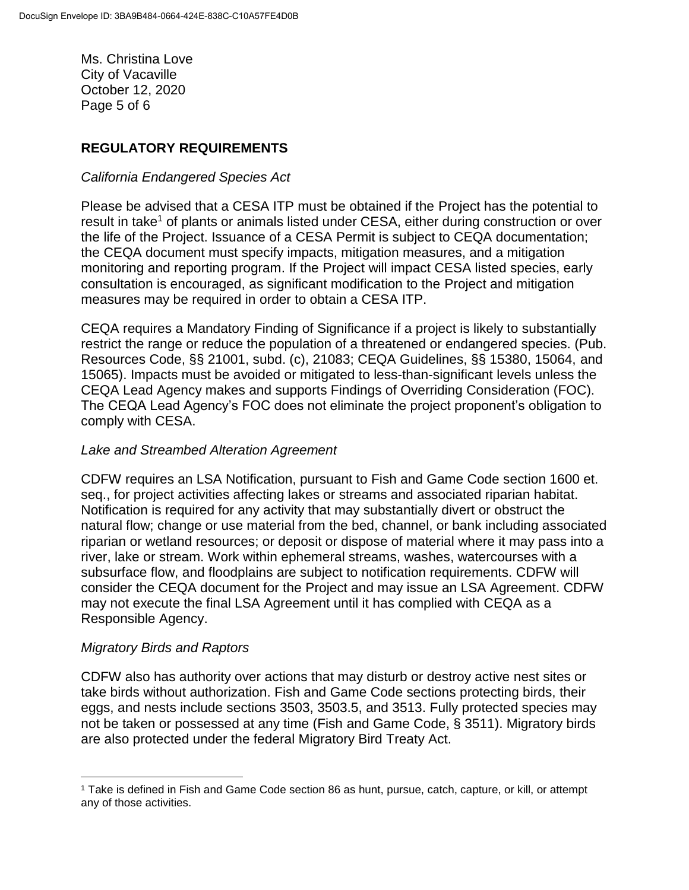Ms. Christina Love City of Vacaville October 12, 2020 Page 5 of 6

### **REGULATORY REQUIREMENTS**

#### *California Endangered Species Act*

Please be advised that a CESA ITP must be obtained if the Project has the potential to result in take<sup>1</sup> of plants or animals listed under CESA, either during construction or over the life of the Project. Issuance of a CESA Permit is subject to CEQA documentation; the CEQA document must specify impacts, mitigation measures, and a mitigation monitoring and reporting program. If the Project will impact CESA listed species, early consultation is encouraged, as significant modification to the Project and mitigation measures may be required in order to obtain a CESA ITP.

CEQA requires a Mandatory Finding of Significance if a project is likely to substantially restrict the range or reduce the population of a threatened or endangered species. (Pub. Resources Code, §§ 21001, subd. (c), 21083; CEQA Guidelines, §§ 15380, 15064, and 15065). Impacts must be avoided or mitigated to less-than-significant levels unless the CEQA Lead Agency makes and supports Findings of Overriding Consideration (FOC). The CEQA Lead Agency's FOC does not eliminate the project proponent's obligation to comply with CESA.

### *Lake and Streambed Alteration Agreement*

CDFW requires an LSA Notification, pursuant to Fish and Game Code section 1600 et. seq., for project activities affecting lakes or streams and associated riparian habitat. Notification is required for any activity that may substantially divert or obstruct the natural flow; change or use material from the bed, channel, or bank including associated riparian or wetland resources; or deposit or dispose of material where it may pass into a river, lake or stream. Work within ephemeral streams, washes, watercourses with a subsurface flow, and floodplains are subject to notification requirements. CDFW will consider the CEQA document for the Project and may issue an LSA Agreement. CDFW may not execute the final LSA Agreement until it has complied with CEQA as a Responsible Agency.

### *Migratory Birds and Raptors*

 $\overline{a}$ 

CDFW also has authority over actions that may disturb or destroy active nest sites or take birds without authorization. Fish and Game Code sections protecting birds, their eggs, and nests include sections 3503, 3503.5, and 3513. Fully protected species may not be taken or possessed at any time (Fish and Game Code, § 3511). Migratory birds are also protected under the federal Migratory Bird Treaty Act.

<sup>1</sup> Take is defined in Fish and Game Code section 86 as hunt, pursue, catch, capture, or kill, or attempt any of those activities.